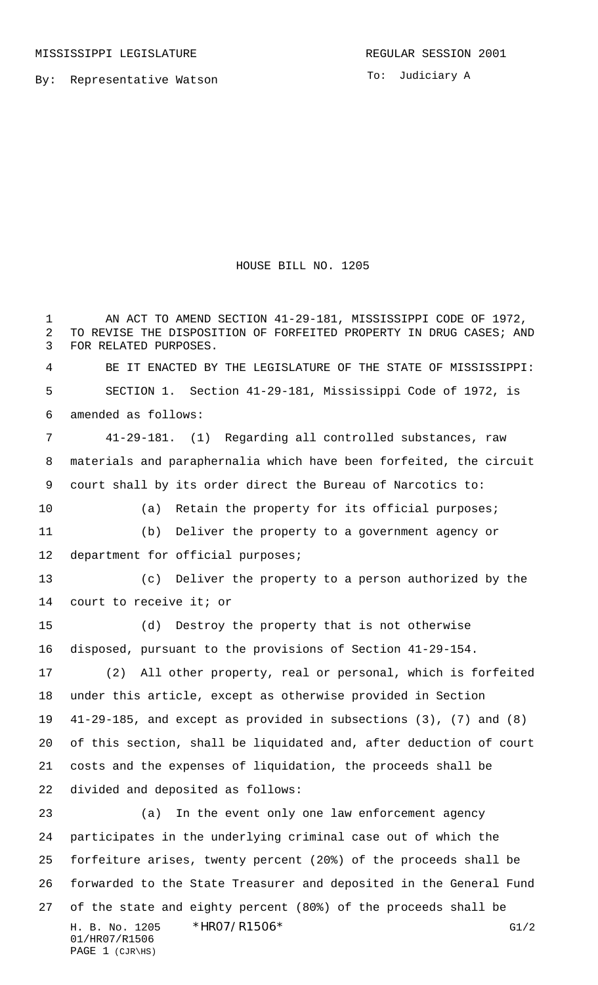By: Representative Watson

To: Judiciary A

HOUSE BILL NO. 1205

H. B. No. 1205 \*HRO7/R1506\* G1/2 1 AN ACT TO AMEND SECTION 41-29-181, MISSISSIPPI CODE OF 1972, TO REVISE THE DISPOSITION OF FORFEITED PROPERTY IN DRUG CASES; AND FOR RELATED PURPOSES. BE IT ENACTED BY THE LEGISLATURE OF THE STATE OF MISSISSIPPI: SECTION 1. Section 41-29-181, Mississippi Code of 1972, is amended as follows: 41-29-181. (1) Regarding all controlled substances, raw materials and paraphernalia which have been forfeited, the circuit court shall by its order direct the Bureau of Narcotics to: (a) Retain the property for its official purposes; (b) Deliver the property to a government agency or department for official purposes; (c) Deliver the property to a person authorized by the court to receive it; or (d) Destroy the property that is not otherwise disposed, pursuant to the provisions of Section 41-29-154. (2) All other property, real or personal, which is forfeited under this article, except as otherwise provided in Section 41-29-185, and except as provided in subsections (3), (7) and (8) of this section, shall be liquidated and, after deduction of court costs and the expenses of liquidation, the proceeds shall be divided and deposited as follows: (a) In the event only one law enforcement agency participates in the underlying criminal case out of which the forfeiture arises, twenty percent (20%) of the proceeds shall be forwarded to the State Treasurer and deposited in the General Fund of the state and eighty percent (80%) of the proceeds shall be

```
01/HR07/R1506
PAGE 1 (CJR\HS)
```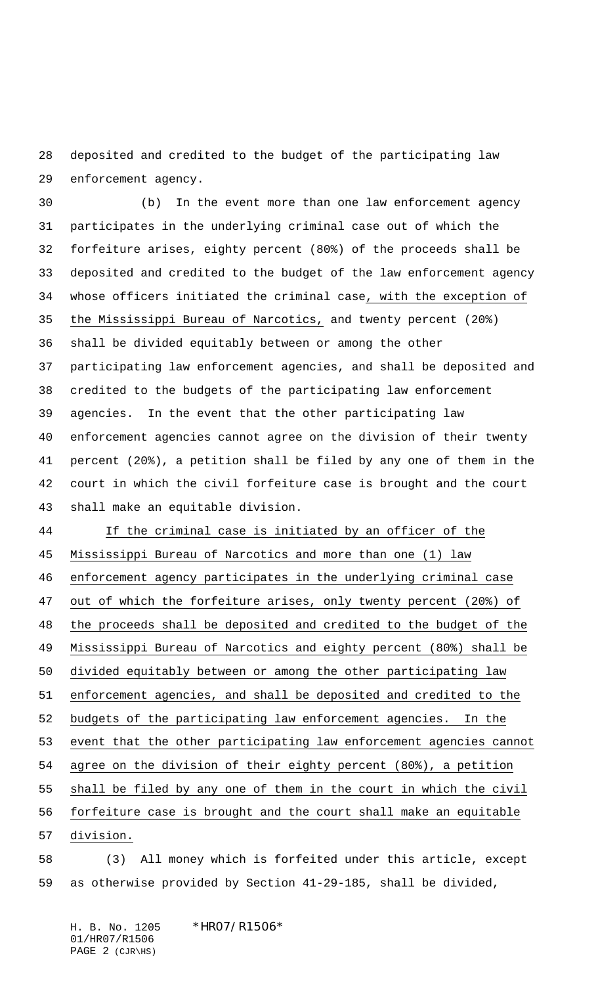deposited and credited to the budget of the participating law enforcement agency.

 (b) In the event more than one law enforcement agency participates in the underlying criminal case out of which the forfeiture arises, eighty percent (80%) of the proceeds shall be deposited and credited to the budget of the law enforcement agency whose officers initiated the criminal case, with the exception of the Mississippi Bureau of Narcotics, and twenty percent (20%) shall be divided equitably between or among the other participating law enforcement agencies, and shall be deposited and credited to the budgets of the participating law enforcement agencies. In the event that the other participating law enforcement agencies cannot agree on the division of their twenty percent (20%), a petition shall be filed by any one of them in the court in which the civil forfeiture case is brought and the court shall make an equitable division.

 If the criminal case is initiated by an officer of the Mississippi Bureau of Narcotics and more than one (1) law enforcement agency participates in the underlying criminal case out of which the forfeiture arises, only twenty percent (20%) of 48 the proceeds shall be deposited and credited to the budget of the Mississippi Bureau of Narcotics and eighty percent (80%) shall be divided equitably between or among the other participating law enforcement agencies, and shall be deposited and credited to the budgets of the participating law enforcement agencies. In the event that the other participating law enforcement agencies cannot agree on the division of their eighty percent (80%), a petition shall be filed by any one of them in the court in which the civil forfeiture case is brought and the court shall make an equitable division.

 (3) All money which is forfeited under this article, except as otherwise provided by Section 41-29-185, shall be divided,

H. B. No. 1205 \*HRO7/R1506\* 01/HR07/R1506 PAGE 2 (CJR\HS)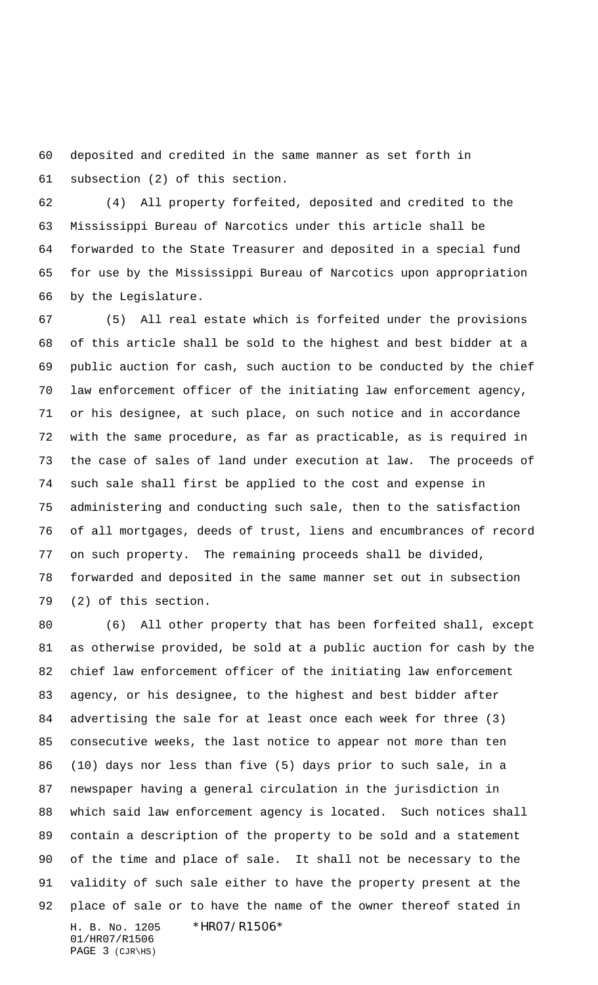deposited and credited in the same manner as set forth in subsection (2) of this section.

 (4) All property forfeited, deposited and credited to the Mississippi Bureau of Narcotics under this article shall be forwarded to the State Treasurer and deposited in a special fund for use by the Mississippi Bureau of Narcotics upon appropriation by the Legislature.

 (5) All real estate which is forfeited under the provisions of this article shall be sold to the highest and best bidder at a public auction for cash, such auction to be conducted by the chief law enforcement officer of the initiating law enforcement agency, or his designee, at such place, on such notice and in accordance with the same procedure, as far as practicable, as is required in the case of sales of land under execution at law. The proceeds of such sale shall first be applied to the cost and expense in administering and conducting such sale, then to the satisfaction of all mortgages, deeds of trust, liens and encumbrances of record on such property. The remaining proceeds shall be divided, forwarded and deposited in the same manner set out in subsection (2) of this section.

H. B. No. 1205 \*HR07/R1506\* 01/HR07/R1506 (6) All other property that has been forfeited shall, except as otherwise provided, be sold at a public auction for cash by the chief law enforcement officer of the initiating law enforcement agency, or his designee, to the highest and best bidder after advertising the sale for at least once each week for three (3) consecutive weeks, the last notice to appear not more than ten (10) days nor less than five (5) days prior to such sale, in a newspaper having a general circulation in the jurisdiction in which said law enforcement agency is located. Such notices shall contain a description of the property to be sold and a statement of the time and place of sale. It shall not be necessary to the validity of such sale either to have the property present at the place of sale or to have the name of the owner thereof stated in

PAGE 3 (CJR\HS)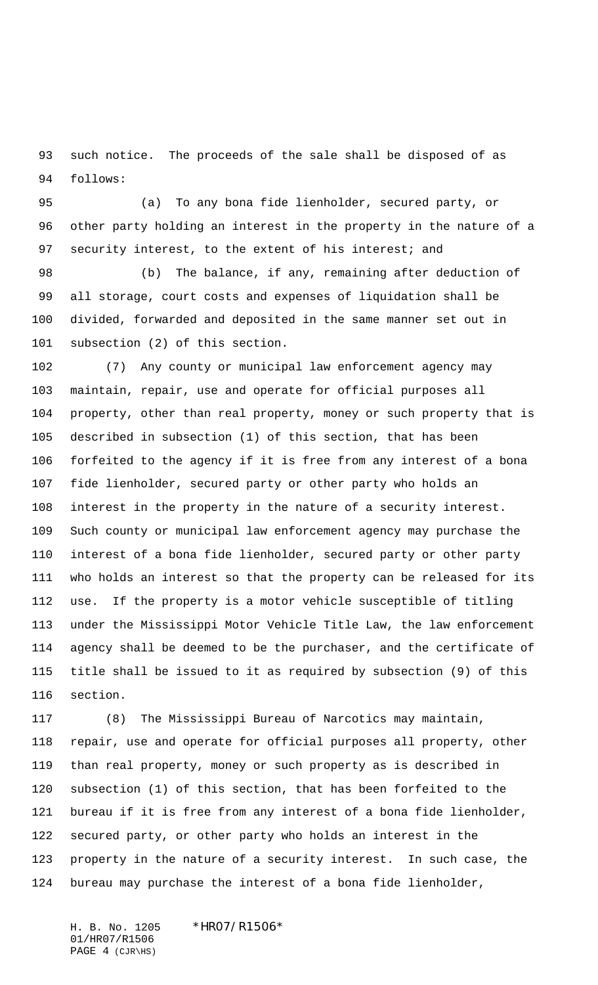such notice. The proceeds of the sale shall be disposed of as follows:

 (a) To any bona fide lienholder, secured party, or other party holding an interest in the property in the nature of a 97 security interest, to the extent of his interest; and

 (b) The balance, if any, remaining after deduction of all storage, court costs and expenses of liquidation shall be divided, forwarded and deposited in the same manner set out in subsection (2) of this section.

 (7) Any county or municipal law enforcement agency may maintain, repair, use and operate for official purposes all property, other than real property, money or such property that is described in subsection (1) of this section, that has been forfeited to the agency if it is free from any interest of a bona fide lienholder, secured party or other party who holds an interest in the property in the nature of a security interest. Such county or municipal law enforcement agency may purchase the interest of a bona fide lienholder, secured party or other party who holds an interest so that the property can be released for its use. If the property is a motor vehicle susceptible of titling under the Mississippi Motor Vehicle Title Law, the law enforcement agency shall be deemed to be the purchaser, and the certificate of title shall be issued to it as required by subsection (9) of this section.

 (8) The Mississippi Bureau of Narcotics may maintain, repair, use and operate for official purposes all property, other than real property, money or such property as is described in subsection (1) of this section, that has been forfeited to the bureau if it is free from any interest of a bona fide lienholder, secured party, or other party who holds an interest in the property in the nature of a security interest. In such case, the bureau may purchase the interest of a bona fide lienholder,

H. B. No. 1205 \*HR07/R1506\* 01/HR07/R1506 PAGE 4 (CJR\HS)